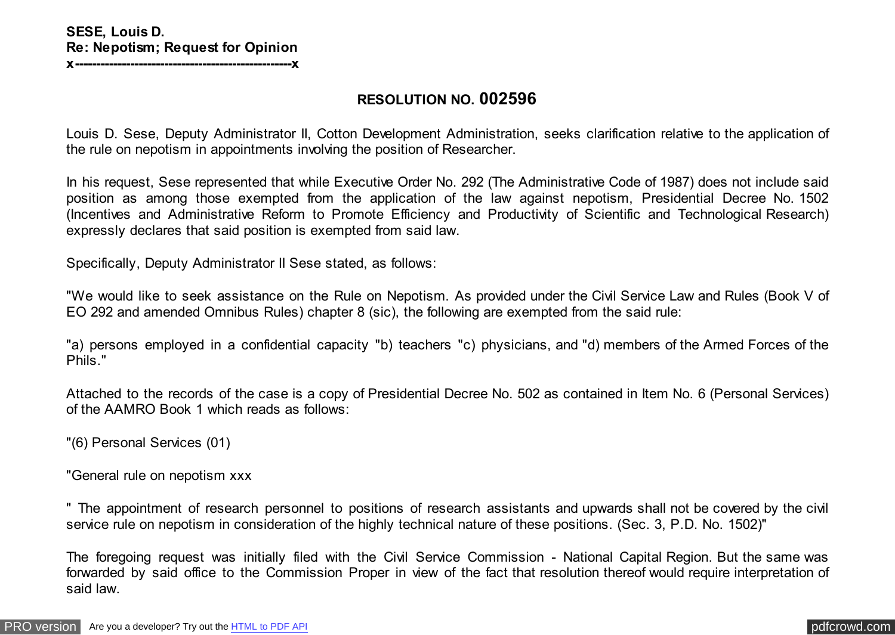## **RESOLUTION NO. 002596**

Louis D. Sese, Deputy Administrator II, Cotton Development Administration, seeks clarification relative to the application of the rule on nepotism in appointments involving the position of Researcher.

In his request, Sese represented that while Executive Order No. 292 (The Administrative Code of 1987) does not include said position as among those exempted from the application of the law against nepotism, Presidential Decree No. 1502 (Incentives and Administrative Reform to Promote Efficiency and Productivity of Scientific and Technological Research) expressly declares that said position is exempted from said law.

Specifically, Deputy Administrator II Sese stated, as follows:

"We would like to seek assistance on the Rule on Nepotism. As provided under the Civil Service Law and Rules (Book V of EO 292 and amended Omnibus Rules) chapter 8 (sic), the following are exempted from the said rule:

"a) persons employed in a confidential capacity "b) teachers "c) physicians, and "d) members of the Armed Forces of the Phils."

Attached to the records of the case is a copy of Presidential Decree No. 502 as contained in Item No. 6 (Personal Services) of the AAMRO Book 1 which reads as follows:

"(6) Personal Services (01)

"General rule on nepotism xxx

" The appointment of research personnel to positions of research assistants and upwards shall not be covered by the civil service rule on nepotism in consideration of the highly technical nature of these positions. (Sec. 3, P.D. No. 1502)"

The foregoing request was initially filed with the Civil Service Commission - National Capital Region. But the same was forwarded by said office to the Commission Proper in view of the fact that resolution thereof would require interpretation of said law.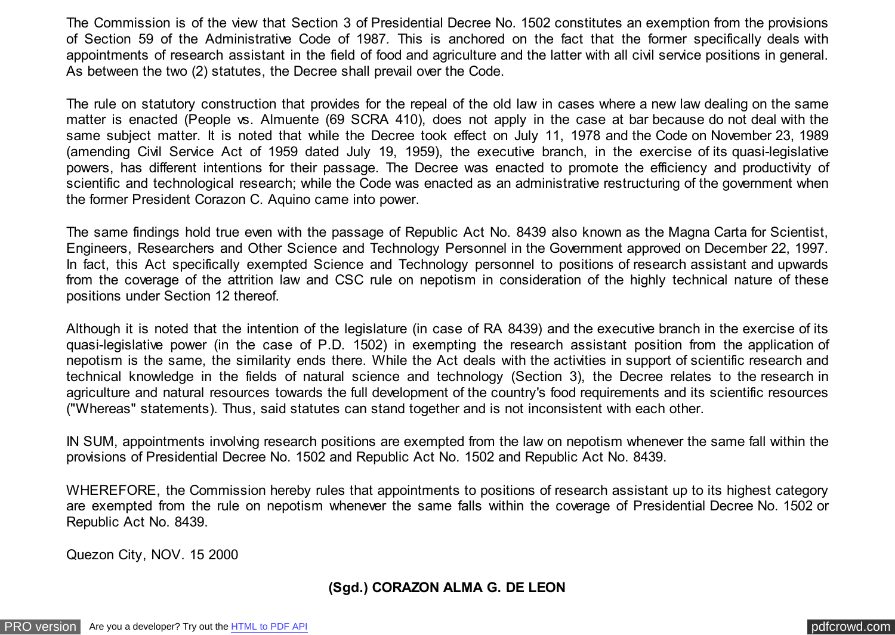The Commission is of the view that Section 3 of Presidential Decree No. 1502 constitutes an exemption from the provisions of Section 59 of the Administrative Code of 1987. This is anchored on the fact that the former specifically deals with appointments of research assistant in the field of food and agriculture and the latter with all civil service positions in general. As between the two (2) statutes, the Decree shall prevail over the Code.

The rule on statutory construction that provides for the repeal of the old law in cases where a new law dealing on the same matter is enacted (People vs. Almuente (69 SCRA 410), does not apply in the case at bar because do not deal with the same subject matter. It is noted that while the Decree took effect on July 11, 1978 and the Code on November 23, 1989 (amending Civil Service Act of 1959 dated July 19, 1959), the executive branch, in the exercise of its quasi-legislative powers, has different intentions for their passage. The Decree was enacted to promote the efficiency and productivity of scientific and technological research; while the Code was enacted as an administrative restructuring of the government when the former President Corazon C. Aquino came into power.

The same findings hold true even with the passage of Republic Act No. 8439 also known as the Magna Carta for Scientist, Engineers, Researchers and Other Science and Technology Personnel in the Government approved on December 22, 1997. In fact, this Act specifically exempted Science and Technology personnel to positions of research assistant and upwards from the coverage of the attrition law and CSC rule on nepotism in consideration of the highly technical nature of these positions under Section 12 thereof.

Although it is noted that the intention of the legislature (in case of RA 8439) and the executive branch in the exercise of its quasi-legislative power (in the case of P.D. 1502) in exempting the research assistant position from the application of nepotism is the same, the similarity ends there. While the Act deals with the activities in support of scientific research and technical knowledge in the fields of natural science and technology (Section 3), the Decree relates to the research in agriculture and natural resources towards the full development of the country's food requirements and its scientific resources ("Whereas" statements). Thus, said statutes can stand together and is not inconsistent with each other.

IN SUM, appointments involving research positions are exempted from the law on nepotism whenever the same fall within the provisions of Presidential Decree No. 1502 and Republic Act No. 1502 and Republic Act No. 8439.

WHEREFORE, the Commission hereby rules that appointments to positions of research assistant up to its highest category are exempted from the rule on nepotism whenever the same falls within the coverage of Presidential Decree No. 1502 or Republic Act No. 8439.

Quezon City, NOV. 15 2000

## **(Sgd.) CORAZON ALMA G. DE LEON**